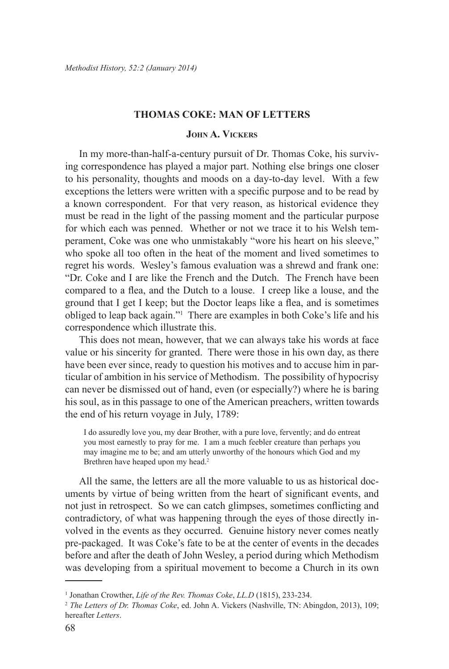## **THOMAS COKE: MAN OF LETTERS**

## **John A. Vickers**

In my more-than-half-a-century pursuit of Dr. Thomas Coke, his surviving correspondence has played a major part. Nothing else brings one closer to his personality, thoughts and moods on a day-to-day level. With a few exceptions the letters were written with a specific purpose and to be read by a known correspondent. For that very reason, as historical evidence they must be read in the light of the passing moment and the particular purpose for which each was penned. Whether or not we trace it to his Welsh temperament, Coke was one who unmistakably "wore his heart on his sleeve," who spoke all too often in the heat of the moment and lived sometimes to regret his words. Wesley's famous evaluation was a shrewd and frank one: "Dr. Coke and I are like the French and the Dutch. The French have been compared to a flea, and the Dutch to a louse. I creep like a louse, and the ground that I get I keep; but the Doctor leaps like a flea, and is sometimes obliged to leap back again."1 There are examples in both Coke's life and his correspondence which illustrate this.

This does not mean, however, that we can always take his words at face value or his sincerity for granted. There were those in his own day, as there have been ever since, ready to question his motives and to accuse him in particular of ambition in his service of Methodism. The possibility of hypocrisy can never be dismissed out of hand, even (or especially?) where he is baring his soul, as in this passage to one of the American preachers, written towards the end of his return voyage in July, 1789:

I do assuredly love you, my dear Brother, with a pure love, fervently; and do entreat you most earnestly to pray for me. I am a much feebler creature than perhaps you may imagine me to be; and am utterly unworthy of the honours which God and my Brethren have heaped upon my head.<sup>2</sup>

All the same, the letters are all the more valuable to us as historical documents by virtue of being written from the heart of significant events, and not just in retrospect. So we can catch glimpses, sometimes conflicting and contradictory, of what was happening through the eyes of those directly involved in the events as they occurred. Genuine history never comes neatly pre-packaged. It was Coke's fate to be at the center of events in the decades before and after the death of John Wesley, a period during which Methodism was developing from a spiritual movement to become a Church in its own

<sup>1</sup> Jonathan Crowther, *Life of the Rev. Thomas Coke*, *LL.D* (1815), 233-234.

<sup>2</sup> *The Letters of Dr. Thomas Coke*, ed. John A. Vickers (Nashville, TN: Abingdon, 2013), 109; hereafter *Letters*.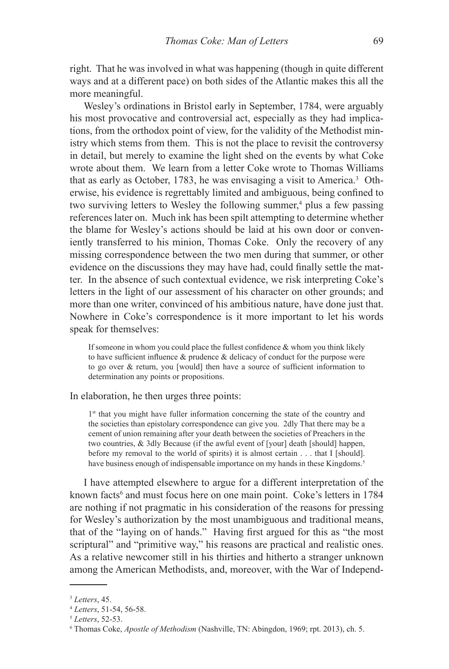right. That he was involved in what was happening (though in quite different ways and at a different pace) on both sides of the Atlantic makes this all the more meaningful.

Wesley's ordinations in Bristol early in September, 1784, were arguably his most provocative and controversial act, especially as they had implications, from the orthodox point of view, for the validity of the Methodist ministry which stems from them. This is not the place to revisit the controversy in detail, but merely to examine the light shed on the events by what Coke wrote about them. We learn from a letter Coke wrote to Thomas Williams that as early as October, 1783, he was envisaging a visit to America.<sup>3</sup> Otherwise, his evidence is regrettably limited and ambiguous, being confined to two surviving letters to Wesley the following summer,<sup>4</sup> plus a few passing references later on. Much ink has been spilt attempting to determine whether the blame for Wesley's actions should be laid at his own door or conveniently transferred to his minion, Thomas Coke. Only the recovery of any missing correspondence between the two men during that summer, or other evidence on the discussions they may have had, could finally settle the matter. In the absence of such contextual evidence, we risk interpreting Coke's letters in the light of our assessment of his character on other grounds; and more than one writer, convinced of his ambitious nature, have done just that. Nowhere in Coke's correspondence is it more important to let his words speak for themselves:

If someone in whom you could place the fullest confidence  $\&$  whom you think likely to have sufficient influence  $\&$  prudence  $\&$  delicacy of conduct for the purpose were to go over & return, you [would] then have a source of sufficient information to determination any points or propositions.

In elaboration, he then urges three points:

1<sup>st</sup> that you might have fuller information concerning the state of the country and the societies than epistolary correspondence can give you. 2dly That there may be a cement of union remaining after your death between the societies of Preachers in the two countries, & 3dly Because (if the awful event of [your] death [should] happen, before my removal to the world of spirits) it is almost certain . . . that I [should]. have business enough of indispensable importance on my hands in these Kingdoms.<sup>5</sup>

I have attempted elsewhere to argue for a different interpretation of the known facts<sup>6</sup> and must focus here on one main point. Coke's letters in 1784 are nothing if not pragmatic in his consideration of the reasons for pressing for Wesley's authorization by the most unambiguous and traditional means, that of the "laying on of hands." Having first argued for this as "the most scriptural" and "primitive way," his reasons are practical and realistic ones. As a relative newcomer still in his thirties and hitherto a stranger unknown among the American Methodists, and, moreover, with the War of Independ-

<sup>3</sup> *Letters*, 45.

<sup>4</sup> *Letters*, 51-54, 56-58.

<sup>5</sup> *Letters*, 52-53.

<sup>6</sup> Thomas Coke, *Apostle of Methodism* (Nashville, TN: Abingdon, 1969; rpt. 2013), ch. 5.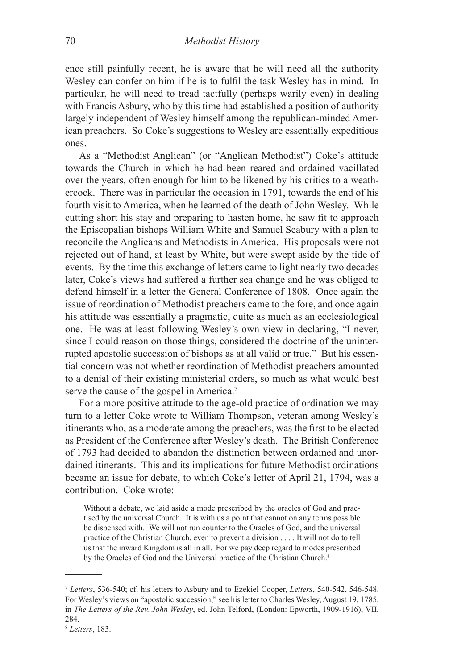ence still painfully recent, he is aware that he will need all the authority Wesley can confer on him if he is to fulfil the task Wesley has in mind. In particular, he will need to tread tactfully (perhaps warily even) in dealing with Francis Asbury, who by this time had established a position of authority largely independent of Wesley himself among the republican-minded American preachers. So Coke's suggestions to Wesley are essentially expeditious ones.

As a "Methodist Anglican" (or "Anglican Methodist") Coke's attitude towards the Church in which he had been reared and ordained vacillated over the years, often enough for him to be likened by his critics to a weathercock. There was in particular the occasion in 1791, towards the end of his fourth visit to America, when he learned of the death of John Wesley. While cutting short his stay and preparing to hasten home, he saw fit to approach the Episcopalian bishops William White and Samuel Seabury with a plan to reconcile the Anglicans and Methodists in America. His proposals were not rejected out of hand, at least by White, but were swept aside by the tide of events. By the time this exchange of letters came to light nearly two decades later, Coke's views had suffered a further sea change and he was obliged to defend himself in a letter the General Conference of 1808. Once again the issue of reordination of Methodist preachers came to the fore, and once again his attitude was essentially a pragmatic, quite as much as an ecclesiological one. He was at least following Wesley's own view in declaring, "I never, since I could reason on those things, considered the doctrine of the uninterrupted apostolic succession of bishops as at all valid or true." But his essential concern was not whether reordination of Methodist preachers amounted to a denial of their existing ministerial orders, so much as what would best serve the cause of the gospel in America.7

For a more positive attitude to the age-old practice of ordination we may turn to a letter Coke wrote to William Thompson, veteran among Wesley's itinerants who, as a moderate among the preachers, was the first to be elected as President of the Conference after Wesley's death. The British Conference of 1793 had decided to abandon the distinction between ordained and unordained itinerants. This and its implications for future Methodist ordinations became an issue for debate, to which Coke's letter of April 21, 1794, was a contribution. Coke wrote:

Without a debate, we laid aside a mode prescribed by the oracles of God and practised by the universal Church. It is with us a point that cannot on any terms possible be dispensed with. We will not run counter to the Oracles of God, and the universal practice of the Christian Church, even to prevent a division . . . . It will not do to tell us that the inward Kingdom is all in all. For we pay deep regard to modes prescribed by the Oracles of God and the Universal practice of the Christian Church.<sup>8</sup>

<sup>7</sup> *Letters*, 536-540; cf. his letters to Asbury and to Ezekiel Cooper, *Letters*, 540-542, 546-548. For Wesley's views on "apostolic succession," see his letter to Charles Wesley, August 19, 1785, in *The Letters of the Rev. John Wesley*, ed. John Telford, (London: Epworth, 1909-1916), VII, 284.

<sup>8</sup> *Letters*, 183.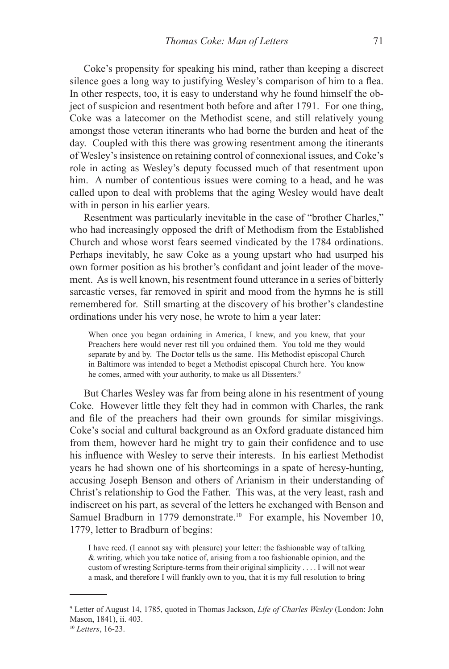Coke's propensity for speaking his mind, rather than keeping a discreet silence goes a long way to justifying Wesley's comparison of him to a flea. In other respects, too, it is easy to understand why he found himself the object of suspicion and resentment both before and after 1791. For one thing, Coke was a latecomer on the Methodist scene, and still relatively young amongst those veteran itinerants who had borne the burden and heat of the day. Coupled with this there was growing resentment among the itinerants of Wesley's insistence on retaining control of connexional issues, and Coke's role in acting as Wesley's deputy focussed much of that resentment upon him. A number of contentious issues were coming to a head, and he was called upon to deal with problems that the aging Wesley would have dealt with in person in his earlier years.

Resentment was particularly inevitable in the case of "brother Charles," who had increasingly opposed the drift of Methodism from the Established Church and whose worst fears seemed vindicated by the 1784 ordinations. Perhaps inevitably, he saw Coke as a young upstart who had usurped his own former position as his brother's confidant and joint leader of the movement. As is well known, his resentment found utterance in a series of bitterly sarcastic verses, far removed in spirit and mood from the hymns he is still remembered for. Still smarting at the discovery of his brother's clandestine ordinations under his very nose, he wrote to him a year later:

When once you began ordaining in America, I knew, and you knew, that your Preachers here would never rest till you ordained them. You told me they would separate by and by. The Doctor tells us the same. His Methodist episcopal Church in Baltimore was intended to beget a Methodist episcopal Church here. You know he comes, armed with your authority, to make us all Dissenters.<sup>9</sup>

But Charles Wesley was far from being alone in his resentment of young Coke. However little they felt they had in common with Charles, the rank and file of the preachers had their own grounds for similar misgivings. Coke's social and cultural background as an Oxford graduate distanced him from them, however hard he might try to gain their confidence and to use his influence with Wesley to serve their interests. In his earliest Methodist years he had shown one of his shortcomings in a spate of heresy-hunting, accusing Joseph Benson and others of Arianism in their understanding of Christ's relationship to God the Father. This was, at the very least, rash and indiscreet on his part, as several of the letters he exchanged with Benson and Samuel Bradburn in 1779 demonstrate.<sup>10</sup> For example, his November 10, 1779, letter to Bradburn of begins:

I have recd. (I cannot say with pleasure) your letter: the fashionable way of talking & writing, which you take notice of, arising from a too fashionable opinion, and the custom of wresting Scripture-terms from their original simplicity . . . . I will not wear a mask, and therefore I will frankly own to you, that it is my full resolution to bring

<sup>9</sup> Letter of August 14, 1785, quoted in Thomas Jackson, *Life of Charles Wesley* (London: John Mason, 1841), ii. 403.

<sup>10</sup> *Letters*, 16-23.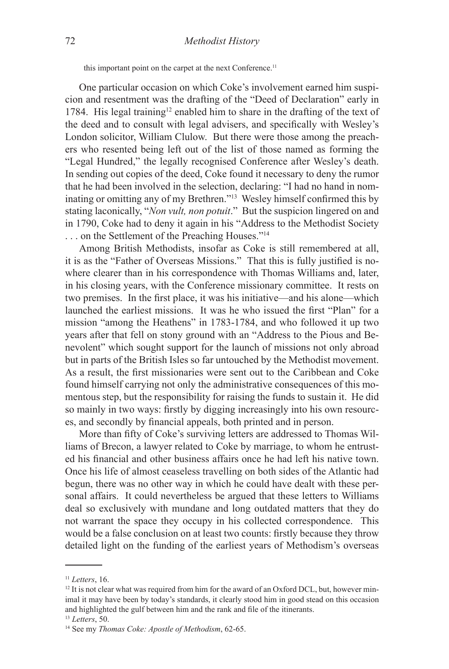this important point on the carpet at the next Conference.<sup>11</sup>

One particular occasion on which Coke's involvement earned him suspicion and resentment was the drafting of the "Deed of Declaration" early in 1784. His legal training<sup>12</sup> enabled him to share in the drafting of the text of the deed and to consult with legal advisers, and specifically with Wesley's London solicitor, William Clulow. But there were those among the preachers who resented being left out of the list of those named as forming the "Legal Hundred," the legally recognised Conference after Wesley's death. In sending out copies of the deed, Coke found it necessary to deny the rumor that he had been involved in the selection, declaring: "I had no hand in nominating or omitting any of my Brethren."13 Wesley himself confirmed this by stating laconically, "*Non vult, non potuit*." But the suspicion lingered on and in 1790, Coke had to deny it again in his "Address to the Methodist Society . . . on the Settlement of the Preaching Houses."14

Among British Methodists, insofar as Coke is still remembered at all, it is as the "Father of Overseas Missions." That this is fully justified is nowhere clearer than in his correspondence with Thomas Williams and, later, in his closing years, with the Conference missionary committee. It rests on two premises. In the first place, it was his initiative—and his alone—which launched the earliest missions. It was he who issued the first "Plan" for a mission "among the Heathens" in 1783-1784, and who followed it up two years after that fell on stony ground with an "Address to the Pious and Benevolent" which sought support for the launch of missions not only abroad but in parts of the British Isles so far untouched by the Methodist movement. As a result, the first missionaries were sent out to the Caribbean and Coke found himself carrying not only the administrative consequences of this momentous step, but the responsibility for raising the funds to sustain it. He did so mainly in two ways: firstly by digging increasingly into his own resources, and secondly by financial appeals, both printed and in person.

More than fifty of Coke's surviving letters are addressed to Thomas Williams of Brecon, a lawyer related to Coke by marriage, to whom he entrusted his financial and other business affairs once he had left his native town. Once his life of almost ceaseless travelling on both sides of the Atlantic had begun, there was no other way in which he could have dealt with these personal affairs. It could nevertheless be argued that these letters to Williams deal so exclusively with mundane and long outdated matters that they do not warrant the space they occupy in his collected correspondence. This would be a false conclusion on at least two counts: firstly because they throw detailed light on the funding of the earliest years of Methodism's overseas

<sup>11</sup> *Letters*, 16.

 $12$  It is not clear what was required from him for the award of an Oxford DCL, but, however minimal it may have been by today's standards, it clearly stood him in good stead on this occasion and highlighted the gulf between him and the rank and file of the itinerants.

<sup>13</sup> *Letters*, 50.

<sup>14</sup> See my *Thomas Coke: Apostle of Methodism*, 62-65.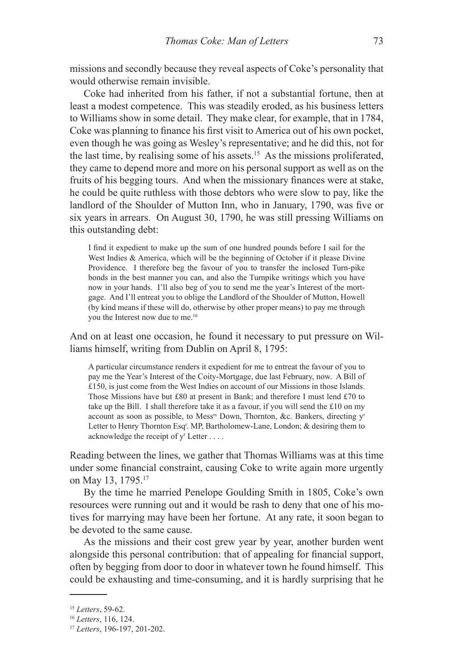missions and secondly because they reveal aspects of Coke's personality that would otherwise remain invisible.

Coke had inherited from his father, if not a substantial fortune, then at least a modest competence. This was steadily eroded, as his business letters to Williams show in some detail. They make clear, for example, that in 1784, Coke was planning to finance his first visit to America out of his own pocket, even though he was going as Wesley's representative; and he did this, not for the last time, by realising some of his assets.15 As the missions proliferated, they came to depend more and more on his personal support as well as on the fruits of his begging tours. And when the missionary finances were at stake, he could be quite ruthless with those debtors who were slow to pay, like the landlord of the Shoulder of Mutton Inn, who in January, 1790, was five or six years in arrears. On August 30, 1790, he was still pressing Williams on this outstanding debt:

I find it expedient to make up the sum of one hundred pounds before I sail for the West Indies & America, which will be the beginning of October if it please Divine Providence. I therefore beg the favour of you to transfer the inclosed Turn-pike bonds in the best manner you can, and also the Turnpike writings which you have now in your hands. I'll also beg of you to send me the year's Interest of the mortgage. And I'll entreat you to oblige the Landlord of the Shoulder of Mutton, Howell (by kind means if these will do, otherwise by other proper means) to pay me through you the Interest now due to me.16

And on at least one occasion, he found it necessary to put pressure on Williams himself, writing from Dublin on April 8, 1795:

A particular circumstance renders it expedient for me to entreat the favour of you to pay me the Year's Interest of the Coity-Mortgage, due last February, now. A Bill of £150, is just come from the West Indies on account of our Missions in those Islands. Those Missions have but £80 at present in Bank; and therefore I must lend £70 to take up the Bill. I shall therefore take it as a favour, if you will send the £10 on my account as soon as possible, to Mess<sup>rs</sup> Down, Thornton, &c. Bankers, directing y<sup>r</sup> Letter to Henry Thornton Esq<sup>r</sup>. MP, Bartholomew-Lane, London; & desiring them to acknowledge the receipt of yr Letter . . . .

Reading between the lines, we gather that Thomas Williams was at this time under some financial constraint, causing Coke to write again more urgently on May 13, 1795.<sup>17</sup>

By the time he married Penelope Goulding Smith in 1805, Coke's own resources were running out and it would be rash to deny that one of his motives for marrying may have been her fortune. At any rate, it soon began to be devoted to the same cause.

As the missions and their cost grew year by year, another burden went alongside this personal contribution: that of appealing for financial support, often by begging from door to door in whatever town he found himself. This could be exhausting and time-consuming, and it is hardly surprising that he

<sup>15</sup> *Letters*, 59-62.

<sup>16</sup> *Letters*, 116, 124.

<sup>17</sup> *Letters*, 196-197, 201-202.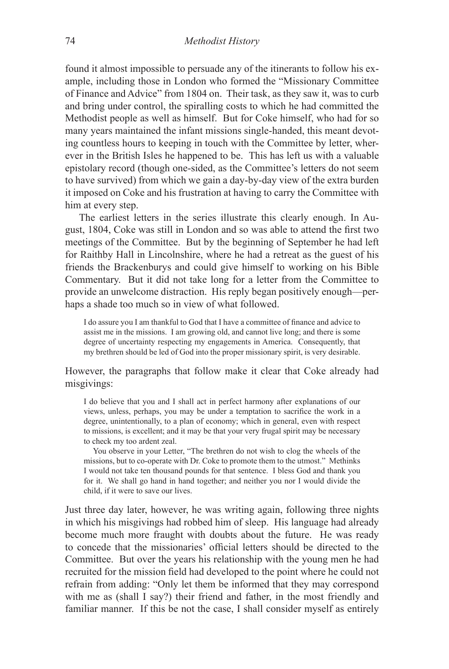found it almost impossible to persuade any of the itinerants to follow his example, including those in London who formed the "Missionary Committee of Finance and Advice" from 1804 on. Their task, as they saw it, was to curb and bring under control, the spiralling costs to which he had committed the Methodist people as well as himself. But for Coke himself, who had for so many years maintained the infant missions single-handed, this meant devoting countless hours to keeping in touch with the Committee by letter, wherever in the British Isles he happened to be. This has left us with a valuable epistolary record (though one-sided, as the Committee's letters do not seem to have survived) from which we gain a day-by-day view of the extra burden it imposed on Coke and his frustration at having to carry the Committee with him at every step.

The earliest letters in the series illustrate this clearly enough. In August, 1804, Coke was still in London and so was able to attend the first two meetings of the Committee. But by the beginning of September he had left for Raithby Hall in Lincolnshire, where he had a retreat as the guest of his friends the Brackenburys and could give himself to working on his Bible Commentary. But it did not take long for a letter from the Committee to provide an unwelcome distraction. His reply began positively enough—perhaps a shade too much so in view of what followed.

I do assure you I am thankful to God that I have a committee of finance and advice to assist me in the missions. I am growing old, and cannot live long; and there is some degree of uncertainty respecting my engagements in America. Consequently, that my brethren should be led of God into the proper missionary spirit, is very desirable.

However, the paragraphs that follow make it clear that Coke already had misgivings:

I do believe that you and I shall act in perfect harmony after explanations of our views, unless, perhaps, you may be under a temptation to sacrifice the work in a degree, unintentionally, to a plan of economy; which in general, even with respect to missions, is excellent; and it may be that your very frugal spirit may be necessary to check my too ardent zeal.

You observe in your Letter, "The brethren do not wish to clog the wheels of the missions, but to co-operate with Dr. Coke to promote them to the utmost." Methinks I would not take ten thousand pounds for that sentence. I bless God and thank you for it. We shall go hand in hand together; and neither you nor I would divide the child, if it were to save our lives.

Just three day later, however, he was writing again, following three nights in which his misgivings had robbed him of sleep. His language had already become much more fraught with doubts about the future. He was ready to concede that the missionaries' official letters should be directed to the Committee. But over the years his relationship with the young men he had recruited for the mission field had developed to the point where he could not refrain from adding: "Only let them be informed that they may correspond with me as (shall I say?) their friend and father, in the most friendly and familiar manner. If this be not the case, I shall consider myself as entirely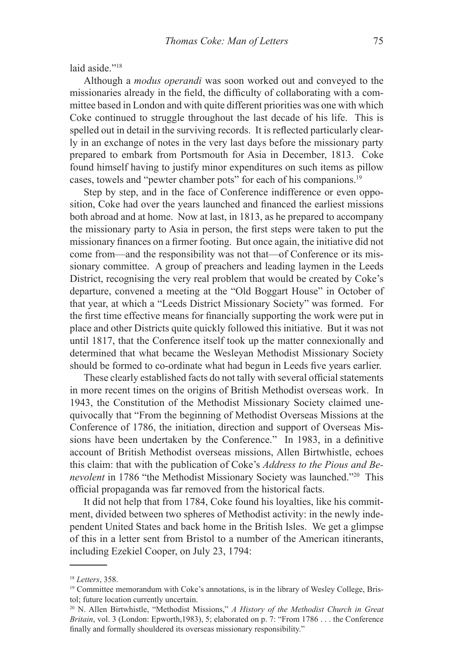laid aside."<sup>18</sup>

Although a *modus operandi* was soon worked out and conveyed to the missionaries already in the field, the difficulty of collaborating with a committee based in London and with quite different priorities was one with which Coke continued to struggle throughout the last decade of his life. This is spelled out in detail in the surviving records. It is reflected particularly clearly in an exchange of notes in the very last days before the missionary party prepared to embark from Portsmouth for Asia in December, 1813. Coke found himself having to justify minor expenditures on such items as pillow cases, towels and "pewter chamber pots" for each of his companions.<sup>19</sup>

Step by step, and in the face of Conference indifference or even opposition, Coke had over the years launched and financed the earliest missions both abroad and at home. Now at last, in 1813, as he prepared to accompany the missionary party to Asia in person, the first steps were taken to put the missionary finances on a firmer footing. But once again, the initiative did not come from—and the responsibility was not that—of Conference or its missionary committee. A group of preachers and leading laymen in the Leeds District, recognising the very real problem that would be created by Coke's departure, convened a meeting at the "Old Boggart House" in October of that year, at which a "Leeds District Missionary Society" was formed. For the first time effective means for financially supporting the work were put in place and other Districts quite quickly followed this initiative. But it was not until 1817, that the Conference itself took up the matter connexionally and determined that what became the Wesleyan Methodist Missionary Society should be formed to co-ordinate what had begun in Leeds five years earlier.

These clearly established facts do not tally with several official statements in more recent times on the origins of British Methodist overseas work. In 1943, the Constitution of the Methodist Missionary Society claimed unequivocally that "From the beginning of Methodist Overseas Missions at the Conference of 1786, the initiation, direction and support of Overseas Missions have been undertaken by the Conference." In 1983, in a definitive account of British Methodist overseas missions, Allen Birtwhistle, echoes this claim: that with the publication of Coke's *Address to the Pious and Benevolent* in 1786 "the Methodist Missionary Society was launched."<sup>20</sup> This official propaganda was far removed from the historical facts.

It did not help that from 1784, Coke found his loyalties, like his commitment, divided between two spheres of Methodist activity: in the newly independent United States and back home in the British Isles. We get a glimpse of this in a letter sent from Bristol to a number of the American itinerants, including Ezekiel Cooper, on July 23, 1794:

<sup>18</sup> *Letters*, 358.

<sup>&</sup>lt;sup>19</sup> Committee memorandum with Coke's annotations, is in the library of Wesley College, Bristol; future location currently uncertain.

<sup>20</sup> N. Allen Birtwhistle, "Methodist Missions," *A History of the Methodist Church in Great Britain*, vol. 3 (London: Epworth,1983), 5; elaborated on p. 7: "From 1786 . . . the Conference finally and formally shouldered its overseas missionary responsibility."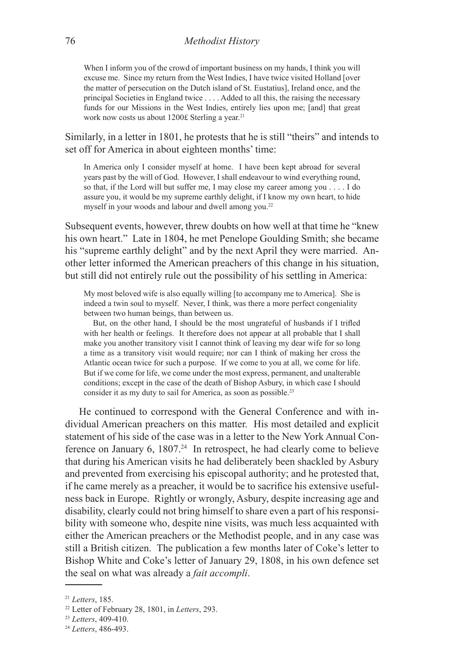When I inform you of the crowd of important business on my hands, I think you will excuse me. Since my return from the West Indies, I have twice visited Holland [over the matter of persecution on the Dutch island of St. Eustatius], Ireland once, and the principal Societies in England twice . . . . Added to all this, the raising the necessary funds for our Missions in the West Indies, entirely lies upon me; [and] that great work now costs us about 1200£ Sterling a year.<sup>21</sup>

Similarly, in a letter in 1801, he protests that he is still "theirs" and intends to set off for America in about eighteen months' time:

In America only I consider myself at home. I have been kept abroad for several years past by the will of God. However, I shall endeavour to wind everything round, so that, if the Lord will but suffer me, I may close my career among you . . . . I do assure you, it would be my supreme earthly delight, if I know my own heart, to hide myself in your woods and labour and dwell among you.<sup>22</sup>

Subsequent events, however, threw doubts on how well at that time he "knew his own heart." Late in 1804, he met Penelope Goulding Smith; she became his "supreme earthly delight" and by the next April they were married. Another letter informed the American preachers of this change in his situation, but still did not entirely rule out the possibility of his settling in America:

My most beloved wife is also equally willing [to accompany me to America]. She is indeed a twin soul to myself. Never, I think, was there a more perfect congeniality between two human beings, than between us.

But, on the other hand, I should be the most ungrateful of husbands if I trifled with her health or feelings. It therefore does not appear at all probable that I shall make you another transitory visit I cannot think of leaving my dear wife for so long a time as a transitory visit would require; nor can I think of making her cross the Atlantic ocean twice for such a purpose. If we come to you at all, we come for life. But if we come for life, we come under the most express, permanent, and unalterable conditions; except in the case of the death of Bishop Asbury, in which case I should consider it as my duty to sail for America, as soon as possible.<sup>23</sup>

He continued to correspond with the General Conference and with individual American preachers on this matter. His most detailed and explicit statement of his side of the case was in a letter to the New York Annual Conference on January 6, 1807.<sup>24</sup> In retrospect, he had clearly come to believe that during his American visits he had deliberately been shackled by Asbury and prevented from exercising his episcopal authority; and he protested that, if he came merely as a preacher, it would be to sacrifice his extensive usefulness back in Europe. Rightly or wrongly, Asbury, despite increasing age and disability, clearly could not bring himself to share even a part of his responsibility with someone who, despite nine visits, was much less acquainted with either the American preachers or the Methodist people, and in any case was still a British citizen. The publication a few months later of Coke's letter to Bishop White and Coke's letter of January 29, 1808, in his own defence set the seal on what was already a *fait accompli*.

<sup>21</sup> *Letters*, 185.

<sup>22</sup> Letter of February 28, 1801, in *Letters*, 293.

<sup>23</sup> *Letters*, 409-410.

<sup>24</sup> *Letters*, 486-493.